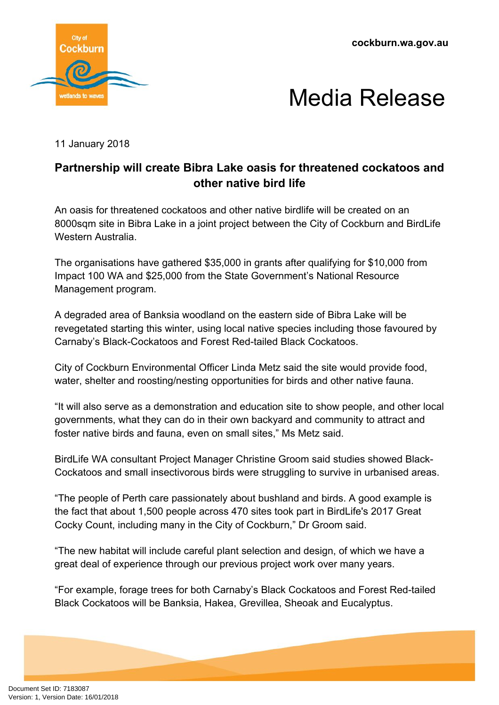**cockburn.wa.gov.au**





11 January 2018

## **Partnership will create Bibra Lake oasis for threatened cockatoos and other native bird life**

An oasis for threatened cockatoos and other native birdlife will be created on an 8000sqm site in Bibra Lake in a joint project between the City of Cockburn and BirdLife Western Australia.

The organisations have gathered \$35,000 in grants after qualifying for \$10,000 from Impact 100 WA and \$25,000 from the State Government's National Resource Management program.

A degraded area of Banksia woodland on the eastern side of Bibra Lake will be revegetated starting this winter, using local native species including those favoured by Carnaby's Black-Cockatoos and Forest Red-tailed Black Cockatoos.

City of Cockburn Environmental Officer Linda Metz said the site would provide food, water, shelter and roosting/nesting opportunities for birds and other native fauna.

"It will also serve as a demonstration and education site to show people, and other local governments, what they can do in their own backyard and community to attract and foster native birds and fauna, even on small sites," Ms Metz said.

BirdLife WA consultant Project Manager Christine Groom said studies showed Black-Cockatoos and small insectivorous birds were struggling to survive in urbanised areas.

"The people of Perth care passionately about bushland and birds. A good example is the fact that about 1,500 people across 470 sites took part in BirdLife's 2017 Great Cocky Count, including many in the City of Cockburn," Dr Groom said.

"The new habitat will include careful plant selection and design, of which we have a great deal of experience through our previous project work over many years.

"For example, forage trees for both Carnaby's Black Cockatoos and Forest Red-tailed Black Cockatoos will be Banksia, Hakea, Grevillea, Sheoak and Eucalyptus.

Document Set ID: 7183087<br>Version: 1, Version Date: 16/01/2018